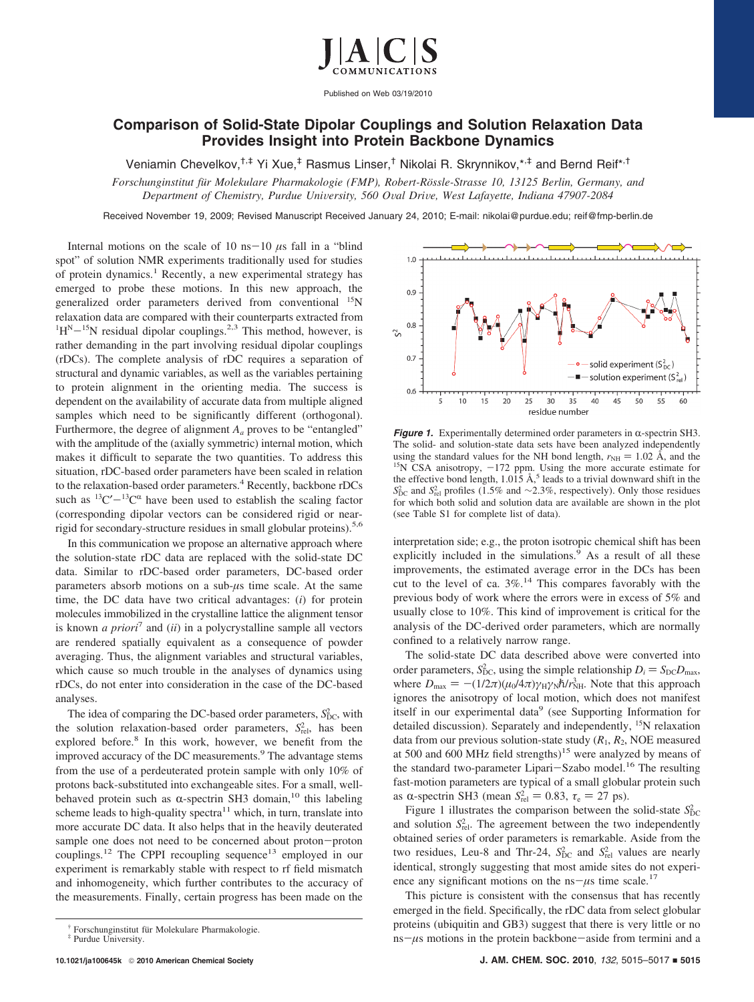

Published on Web 03/19/2010

## **Comparison of Solid-State Dipolar Couplings and Solution Relaxation Data Provides Insight into Protein Backbone Dynamics**

Veniamin Chevelkov,<sup>†,‡</sup> Yi Xue,<sup>‡</sup> Rasmus Linser,<sup>†</sup> Nikolai R. Skrynnikov,\*<sup>\*</sup> and Bernd Reif\*<sup>,†</sup>

*Forschunginstitut fu¨r Molekulare Pharmakologie (FMP), Robert-Ro¨ssle-Strasse 10, 13125 Berlin, Germany, and Department of Chemistry, Purdue University, 560 Oval Drive, West Lafayette, Indiana 47907-2084* 

Received November 19, 2009; Revised Manuscript Received January 24, 2010; E-mail: nikolai@purdue.edu; reif@fmp-berlin.de

Internal motions on the scale of 10 ns-10  $\mu$ s fall in a "blind" spot" of solution NMR experiments traditionally used for studies of protein dynamics.<sup>1</sup> Recently, a new experimental strategy has emerged to probe these motions. In this new approach, the generalized order parameters derived from conventional <sup>15</sup>N relaxation data are compared with their counterparts extracted from  ${}^{1}H^{N-15}N$  residual dipolar couplings.<sup>2,3</sup> This method, however, is<br>rather demanding in the part involving residual dipolar couplings rather demanding in the part involving residual dipolar couplings (rDCs). The complete analysis of rDC requires a separation of structural and dynamic variables, as well as the variables pertaining to protein alignment in the orienting media. The success is dependent on the availability of accurate data from multiple aligned samples which need to be significantly different (orthogonal). Furthermore, the degree of alignment *Aa* proves to be "entangled" with the amplitude of the (axially symmetric) internal motion, which makes it difficult to separate the two quantities. To address this situation, rDC-based order parameters have been scaled in relation to the relaxation-based order parameters.<sup>4</sup> Recently, backbone rDCs such as  ${}^{13}C' - {}^{13}C^{\alpha}$  have been used to establish the scaling factor (corresponding dipolar vectors can be considered rigid or nearrigid for secondary-structure residues in small globular proteins).<sup>5,6</sup>

In this communication we propose an alternative approach where the solution-state rDC data are replaced with the solid-state DC data. Similar to rDC-based order parameters, DC-based order parameters absorb motions on a sub-*µ*s time scale. At the same time, the DC data have two critical advantages: (*i*) for protein molecules immobilized in the crystalline lattice the alignment tensor is known *a priori*<sup>7</sup> and (*ii*) in a polycrystalline sample all vectors are rendered spatially equivalent as a consequence of powder averaging. Thus, the alignment variables and structural variables, which cause so much trouble in the analyses of dynamics using rDCs, do not enter into consideration in the case of the DC-based analyses.

The idea of comparing the DC-based order parameters,  $S_{\text{DC}}^2$ , with the solution relaxation-based order parameters,  $S_{rel}^2$ , has been explored before.<sup>8</sup> In this work, however, we benefit from the improved accuracy of the DC measurements.<sup>9</sup> The advantage stems from the use of a perdeuterated protein sample with only 10% of protons back-substituted into exchangeable sites. For a small, wellbehaved protein such as  $\alpha$ -spectrin SH3 domain,<sup>10</sup> this labeling scheme leads to high-quality spectra $11$  which, in turn, translate into more accurate DC data. It also helps that in the heavily deuterated sample one does not need to be concerned about proton-proton couplings.<sup>12</sup> The CPPI recoupling sequence<sup>13</sup> employed in our experiment is remarkably stable with respect to rf field mismatch and inhomogeneity, which further contributes to the accuracy of the measurements. Finally, certain progress has been made on the



*Figure 1.* Experimentally determined order parameters in  $\alpha$ -spectrin SH3. The solid- and solution-state data sets have been analyzed independently using the standard values for the NH bond length,  $r_{NH} = 1.02 \text{ Å}$ , and the <sup>15</sup>N CSA anisotropy,  $-172$  ppm. Using the more accurate estimate for the effective bond length, 1.015 Å,<sup>5</sup> leads to a trivial downward shift  $S_{\text{DC}}^2$  and *S*<sub>rel</sub> profiles (1.5% and ∼2.3%, respectively). Only those residues for which both solid and solution data are available are shown in the plot (see Table S1 for complete list of data).

interpretation side; e.g., the proton isotropic chemical shift has been explicitly included in the simulations.<sup>9</sup> As a result of all these improvements, the estimated average error in the DCs has been cut to the level of ca.  $3\%$ .<sup>14</sup> This compares favorably with the previous body of work where the errors were in excess of 5% and usually close to 10%. This kind of improvement is critical for the analysis of the DC-derived order parameters, which are normally confined to a relatively narrow range.

The solid-state DC data described above were converted into order parameters,  $S_{\text{DC}}^2$ , using the simple relationship  $D_i = S_{\text{DC}}D_{\text{max}}$ ,<br>where  $D_i = -(1/2\pi)(u_i/d\pi)v_i v_j h/v_{\text{max}}^2$ . Note that this annoach where  $D_{\text{max}} = -(1/2\pi)(\mu_0/4\pi)\gamma_H\gamma_N\hbar/r_{\text{NH}}^3$ . Note that this approach<br>ignores the anisotropy of local motion, which does not manifest ignores the anisotropy of local motion, which does not manifest itself in our experimental data<sup>9</sup> (see Supporting Information for detailed discussion). Separately and independently, 15N relaxation data from our previous solution-state study  $(R_1, R_2, \text{NOE} \text{ measured})$ at 500 and 600 MHz field strengths)<sup>15</sup> were analyzed by means of the standard two-parameter Lipari-Szabo model.<sup>16</sup> The resulting fast-motion parameters are typical of a small globular protein such as  $\alpha$ -spectrin SH3 (mean  $S_{rel}^2 = 0.83$ ,  $\tau_e = 27$  ps).<br>Figure 1 illustrates the comparison between the

Figure 1 illustrates the comparison between the solid-state  $S_{\text{DC}}^2$ and solution  $S_{rel}^2$ . The agreement between the two independently obtained series of order parameters is remarkable. Aside from the two residues, Leu-8 and Thr-24,  $S_{DC}^2$  and  $S_{rel}^2$  values are nearly identical, strongly suggesting that most amide sites do not experience any significant motions on the  $ns-\mu s$  time scale.<sup>17</sup>

This picture is consistent with the consensus that has recently emerged in the field. Specifically, the rDC data from select globular proteins (ubiquitin and GB3) suggest that there is very little or no  $ns-\mu s$  motions in the protein backbone-aside from termini and a

<sup>†</sup> Forschunginstitut für Molekulare Pharmakologie. ‡ Purdue University.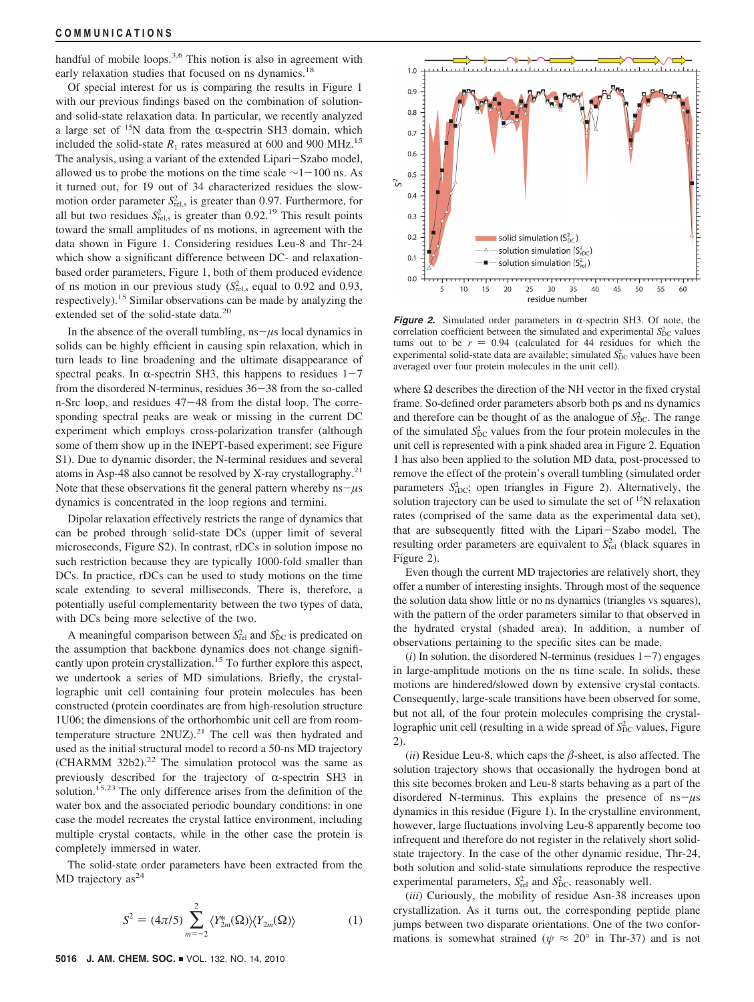handful of mobile loops.<sup>3,6</sup> This notion is also in agreement with early relaxation studies that focused on ns dynamics.<sup>18</sup>

Of special interest for us is comparing the results in Figure 1 with our previous findings based on the combination of solutionand solid-state relaxation data. In particular, we recently analyzed a large set of  $15N$  data from the  $\alpha$ -spectrin SH3 domain, which included the solid-state  $R_1$  rates measured at 600 and 900 MHz.<sup>15</sup> The analysis, using a variant of the extended Lipari-Szabo model, allowed us to probe the motions on the time scale  $\sim$ 1 $-100$  ns. As it turned out, for 19 out of 34 characterized residues the slowmotion order parameter  $S_{\text{rel,s}}^2$  is greater than 0.97. Furthermore, for all but two residues  $S_{\text{rel,s}}^2$  is greater than 0.92.<sup>19</sup> This result points toward the small amplitudes of ns motions, in agreement with the data shown in Figure 1. Considering residues Leu-8 and Thr-24 which show a significant difference between DC- and relaxationbased order parameters, Figure 1, both of them produced evidence of ns motion in our previous study  $(S_{rel,s}^2)$  equal to 0.92 and 0.93, respectively).15 Similar observations can be made by analyzing the extended set of the solid-state data.<sup>20</sup>

In the absence of the overall tumbling,  $ns - \mu s$  local dynamics in solids can be highly efficient in causing spin relaxation, which in turn leads to line broadening and the ultimate disappearance of spectral peaks. In  $\alpha$ -spectrin SH3, this happens to residues 1-7 from the disordered N-terminus, residues 36-38 from the so-called n-Src loop, and residues 47-48 from the distal loop. The corresponding spectral peaks are weak or missing in the current DC experiment which employs cross-polarization transfer (although some of them show up in the INEPT-based experiment; see Figure S1). Due to dynamic disorder, the N-terminal residues and several atoms in Asp-48 also cannot be resolved by X-ray crystallography.21 Note that these observations fit the general pattern whereby  $ns - \mu s$ dynamics is concentrated in the loop regions and termini.

Dipolar relaxation effectively restricts the range of dynamics that can be probed through solid-state DCs (upper limit of several microseconds, Figure S2). In contrast, rDCs in solution impose no such restriction because they are typically 1000-fold smaller than DCs. In practice, rDCs can be used to study motions on the time scale extending to several milliseconds. There is, therefore, a potentially useful complementarity between the two types of data, with DCs being more selective of the two.

A meaningful comparison between  $S_{rel}^2$  and  $S_{DC}^2$  is predicated on the assumption that backbone dynamics does not change significantly upon protein crystallization.<sup>15</sup> To further explore this aspect, we undertook a series of MD simulations. Briefly, the crystallographic unit cell containing four protein molecules has been constructed (protein coordinates are from high-resolution structure 1U06; the dimensions of the orthorhombic unit cell are from roomtemperature structure  $2NUZ$ ).<sup>21</sup> The cell was then hydrated and used as the initial structural model to record a 50-ns MD trajectory (CHARMM 32b2). $22$  The simulation protocol was the same as previously described for the trajectory of  $\alpha$ -spectrin SH3 in solution.<sup>15,23</sup> The only difference arises from the definition of the water box and the associated periodic boundary conditions: in one case the model recreates the crystal lattice environment, including multiple crystal contacts, while in the other case the protein is completely immersed in water.

The solid-state order parameters have been extracted from the MD trajectory  $as<sup>24</sup>$ 

$$
S^{2} = (4\pi/5) \sum_{m=-2}^{2} \langle Y_{2m}^{*}(\Omega) \rangle \langle Y_{2m}(\Omega) \rangle \tag{1}
$$



*Figure 2.* Simulated order parameters in  $\alpha$ -spectrin SH3. Of note, the correlation coefficient between the simulated and experimental  $S_{\text{DC}}^2$  values turns out to be  $r = 0.94$  (calculated for 44 residues for which the experimental solid-state data are available; simulated  $S_{\text{DC}}^2$  values have been averaged over four protein molecules in the unit cell).

where  $\Omega$  describes the direction of the NH vector in the fixed crystal frame. So-defined order parameters absorb both ps and ns dynamics and therefore can be thought of as the analogue of  $S_{\text{DC}}^2$ . The range of the simulated  $S_{\text{DC}}^2$  values from the four protein molecules in the unit cell is represented with a pink shaded area in Figure 2. Equation 1 has also been applied to the solution MD data, post-processed to remove the effect of the protein's overall tumbling (simulated order parameters  $S_{\text{rDC}}^2$ ; open triangles in Figure 2). Alternatively, the solution trajectory can be used to simulate the set of <sup>15</sup>N relaxation rates (comprised of the same data as the experimental data set), that are subsequently fitted with the Lipari-Szabo model. The resulting order parameters are equivalent to  $S^2_{rel}$  (black squares in Figure 2).

Even though the current MD trajectories are relatively short, they offer a number of interesting insights. Through most of the sequence the solution data show little or no ns dynamics (triangles vs squares), with the pattern of the order parameters similar to that observed in the hydrated crystal (shaded area). In addition, a number of observations pertaining to the specific sites can be made.

 $(i)$  In solution, the disordered N-terminus (residues  $1-7$ ) engages in large-amplitude motions on the ns time scale. In solids, these motions are hindered/slowed down by extensive crystal contacts. Consequently, large-scale transitions have been observed for some, but not all, of the four protein molecules comprising the crystallographic unit cell (resulting in a wide spread of  $S_{\text{DC}}^2$  values, Figure 2).

( $ii$ ) Residue Leu-8, which caps the  $\beta$ -sheet, is also affected. The solution trajectory shows that occasionally the hydrogen bond at this site becomes broken and Leu-8 starts behaving as a part of the disordered N-terminus. This explains the presence of ns-*µ*<sup>s</sup> dynamics in this residue (Figure 1). In the crystalline environment, however, large fluctuations involving Leu-8 apparently become too infrequent and therefore do not register in the relatively short solidstate trajectory. In the case of the other dynamic residue, Thr-24, both solution and solid-state simulations reproduce the respective experimental parameters,  $S_{rel}^2$  and  $S_{DC}^2$ , reasonably well.

(*iii*) Curiously, the mobility of residue Asn-38 increases upon crystallization. As it turns out, the corresponding peptide plane jumps between two disparate orientations. One of the two conformations is somewhat strained ( $\psi \approx 20^{\circ}$  in Thr-37) and is not